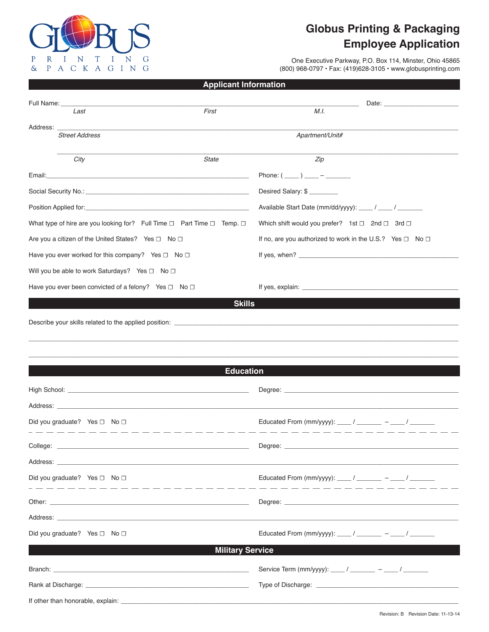

If other than honorable, explain:

## **Globus Printing & Packaging Employee Application**

One Executive Parkway, P.O. Box 114, Minster, Ohio 45865 (800) 968-0797 · Fax: (419) 628-3105 · www.globusprinting.com

## **Applicant Information**

| Full Name:                                                                                                                                                                                                                           |                         |                                                                     |
|--------------------------------------------------------------------------------------------------------------------------------------------------------------------------------------------------------------------------------------|-------------------------|---------------------------------------------------------------------|
| Last                                                                                                                                                                                                                                 | First                   | M.I.                                                                |
| Address: _______<br><b>Street Address</b>                                                                                                                                                                                            |                         | Apartment/Unit#                                                     |
|                                                                                                                                                                                                                                      |                         |                                                                     |
| City                                                                                                                                                                                                                                 | State                   | Zip                                                                 |
|                                                                                                                                                                                                                                      |                         | Phone: $(\_\_) \_\_ -$ - _______                                    |
|                                                                                                                                                                                                                                      |                         | Desired Salary: \$                                                  |
|                                                                                                                                                                                                                                      |                         | Available Start Date (mm/dd/yyyy): ____ / ____ / _______            |
| What type of hire are you looking for? Full Time $\Box$ Part Time $\Box$ Temp. $\Box$                                                                                                                                                |                         | Which shift would you prefer? 1st □ 2nd □ 3rd □                     |
| Are you a citizen of the United States? Yes □ No □                                                                                                                                                                                   |                         | If no, are you authorized to work in the U.S.? Yes $\Box$ No $\Box$ |
| Have you ever worked for this company? Yes $\Box$ No $\Box$                                                                                                                                                                          |                         |                                                                     |
| Will you be able to work Saturdays? Yes □ No □                                                                                                                                                                                       |                         |                                                                     |
| Have you ever been convicted of a felony? Yes □ No □                                                                                                                                                                                 |                         |                                                                     |
|                                                                                                                                                                                                                                      | <b>Skills</b>           |                                                                     |
|                                                                                                                                                                                                                                      |                         |                                                                     |
|                                                                                                                                                                                                                                      |                         |                                                                     |
|                                                                                                                                                                                                                                      |                         |                                                                     |
|                                                                                                                                                                                                                                      |                         |                                                                     |
|                                                                                                                                                                                                                                      | <b>Education</b>        |                                                                     |
|                                                                                                                                                                                                                                      |                         |                                                                     |
|                                                                                                                                                                                                                                      |                         |                                                                     |
| Did you graduate? Yes □ No □                                                                                                                                                                                                         |                         | Educated From (mm/yyyy): ____ / _______ - ___ / _______             |
| <u> 1990 - 1991 - 1992 - 1993 - 1994 - 1995 - 1996 - 1997 - 1998 - 1999 - 1999 - 1999 - 1999 - 1999 - 1999 - 1999 - 1999 - 1999 - 1999 - 1999 - 1999 - 1999 - 1999 - 1999 - 1999 - 1999 - 1999 - 1999 - 1999 - 1999 - 1999 - 199</u> |                         |                                                                     |
|                                                                                                                                                                                                                                      |                         |                                                                     |
| Did you graduate? Yes □ No □                                                                                                                                                                                                         |                         | Educated From (mm/yyyy): ____ / _______ - ___ / _______             |
|                                                                                                                                                                                                                                      |                         |                                                                     |
|                                                                                                                                                                                                                                      |                         |                                                                     |
|                                                                                                                                                                                                                                      |                         |                                                                     |
| Did you graduate? Yes $\Box$ No $\Box$                                                                                                                                                                                               |                         | Educated From (mm/yyyy): ____ / _______ - ____ / _______            |
|                                                                                                                                                                                                                                      | <b>Military Service</b> |                                                                     |
| Branch: <u>Communication and Communication</u> and Communication and Communication and Communication                                                                                                                                 |                         | Service Term (mm/yyyy): ____/ ______ - ____/ ________               |
| Rank at Discharge:                                                                                                                                                                                                                   |                         | Type of Discharge:                                                  |